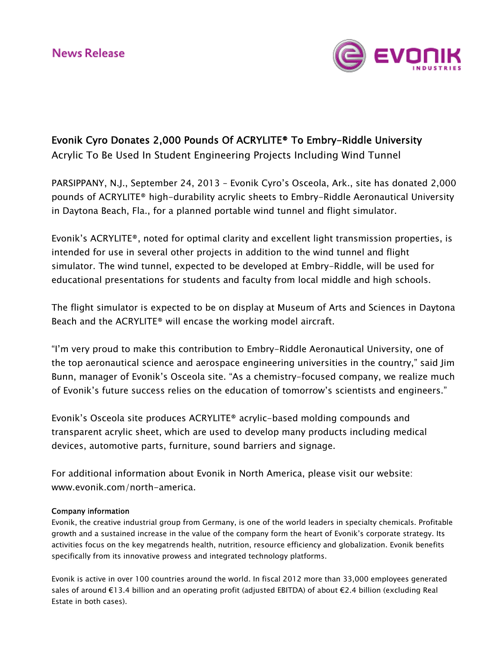

# Evonik Cyro Donates 2,000 Pounds Of ACRYLITE® To Embry-Riddle University

Acrylic To Be Used In Student Engineering Projects Including Wind Tunnel

PARSIPPANY, N.J., September 24, 2013 – Evonik Cyro's Osceola, Ark., site has donated 2,000 pounds of ACRYLITE® high-durability acrylic sheets to Embry-Riddle Aeronautical University in Daytona Beach, Fla., for a planned portable wind tunnel and flight simulator.

Evonik's ACRYLITE®, noted for optimal clarity and excellent light transmission properties, is intended for use in several other projects in addition to the wind tunnel and flight simulator. The wind tunnel, expected to be developed at Embry-Riddle, will be used for educational presentations for students and faculty from local middle and high schools.

The flight simulator is expected to be on display at Museum of Arts and Sciences in Daytona Beach and the ACRYLITE® will encase the working model aircraft.

"I'm very proud to make this contribution to Embry-Riddle Aeronautical University, one of the top aeronautical science and aerospace engineering universities in the country," said Jim Bunn, manager of Evonik's Osceola site. "As a chemistry-focused company, we realize much of Evonik's future success relies on the education of tomorrow's scientists and engineers."

Evonik's Osceola site produces ACRYLITE® acrylic-based molding compounds and transparent acrylic sheet, which are used to develop many products including medical devices, automotive parts, furniture, sound barriers and signage.

For additional information about Evonik in North America, please visit our website: [www.evonik.com/north-america](http://www.evonik.com/north-america).

## Company information

Evonik, the creative industrial group from Germany, is one of the world leaders in specialty chemicals. Profitable growth and a sustained increase in the value of the company form the heart of Evonik's corporate strategy. Its activities focus on the key megatrends health, nutrition, resource efficiency and globalization. Evonik benefits specifically from its innovative prowess and integrated technology platforms.

Evonik is active in over 100 countries around the world. In fiscal 2012 more than 33,000 employees generated sales of around €13.4 billion and an operating profit (adjusted EBITDA) of about €2.4 billion (excluding Real Estate in both cases).